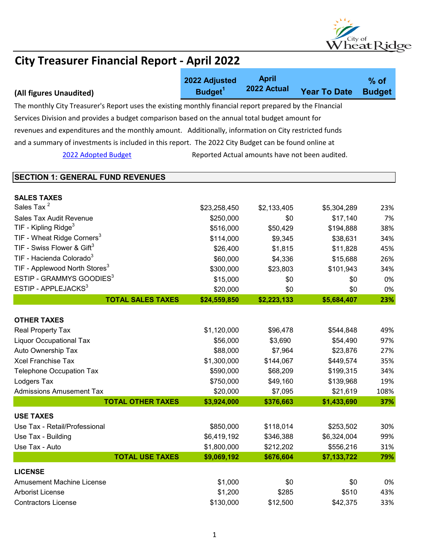

|                                                                                                          | 2022 Adjusted       | <b>April</b><br>2022 Actual                    |                     | $%$ of        |  |
|----------------------------------------------------------------------------------------------------------|---------------------|------------------------------------------------|---------------------|---------------|--|
| (All figures Unaudited)                                                                                  | Budget <sup>1</sup> |                                                | <b>Year To Date</b> | <b>Budget</b> |  |
| The monthly City Treasurer's Report uses the existing monthly financial report prepared by the Flnancial |                     |                                                |                     |               |  |
| Services Division and provides a budget comparison based on the annual total budget amount for           |                     |                                                |                     |               |  |
| revenues and expenditures and the monthly amount. Additionally, information on City restricted funds     |                     |                                                |                     |               |  |
| and a summary of investments is included in this report. The 2022 City Budget can be found online at     |                     |                                                |                     |               |  |
| 2022 Adopted Budget                                                                                      |                     | Reported Actual amounts have not been audited. |                     |               |  |
|                                                                                                          |                     |                                                |                     |               |  |
| <b>SECTION 1: GENERAL FUND REVENUES</b>                                                                  |                     |                                                |                     |               |  |
|                                                                                                          |                     |                                                |                     |               |  |
| <b>SALES TAXES</b><br>Sales Tax <sup>2</sup>                                                             | \$23,258,450        | \$2,133,405                                    | \$5,304,289         | 23%           |  |
| Sales Tax Audit Revenue                                                                                  | \$250,000           | \$0                                            | \$17,140            | 7%            |  |
| TIF - Kipling Ridge <sup>3</sup>                                                                         | \$516,000           | \$50,429                                       | \$194,888           | 38%           |  |
| TIF - Wheat Ridge Corners <sup>3</sup>                                                                   | \$114,000           | \$9,345                                        | \$38,631            | 34%           |  |
| TIF - Swiss Flower & Gift <sup>3</sup>                                                                   | \$26,400            | \$1,815                                        | \$11,828            | 45%           |  |
| TIF - Hacienda Colorado <sup>3</sup>                                                                     | \$60,000            | \$4,336                                        | \$15,688            | 26%           |  |
| TIF - Applewood North Stores <sup>3</sup>                                                                | \$300,000           | \$23,803                                       | \$101,943           | 34%           |  |
| ESTIP - GRAMMYS GOODIES <sup>3</sup>                                                                     | \$15,000            | \$0                                            | \$0                 | 0%            |  |
| ESTIP - APPLEJACKS <sup>3</sup>                                                                          | \$20,000            | \$0                                            | \$0                 | 0%            |  |
| <b>TOTAL SALES TAXES</b>                                                                                 | \$24,559,850        | \$2,223,133                                    | \$5,684,407         | 23%           |  |
| <b>OTHER TAXES</b>                                                                                       |                     |                                                |                     |               |  |
| Real Property Tax                                                                                        | \$1,120,000         | \$96,478                                       | \$544,848           | 49%           |  |
| <b>Liquor Occupational Tax</b>                                                                           | \$56,000            | \$3,690                                        | \$54,490            | 97%           |  |
| Auto Ownership Tax                                                                                       | \$88,000            | \$7,964                                        | \$23,876            | 27%           |  |
| <b>Xcel Franchise Tax</b>                                                                                | \$1,300,000         | \$144,067                                      | \$449,574           | 35%           |  |
| <b>Telephone Occupation Tax</b>                                                                          | \$590,000           | \$68,209                                       | \$199,315           | 34%           |  |
| Lodgers Tax                                                                                              | \$750,000           | \$49,160                                       | \$139,968           | 19%           |  |
| <b>Admissions Amusement Tax</b>                                                                          | \$20,000            | \$7,095                                        | \$21,619            | 108%          |  |
| <b>TOTAL OTHER TAXES</b>                                                                                 | \$3,924,000         | \$376,663                                      | \$1,433,690         | 37%           |  |
| <b>USE TAXES</b>                                                                                         |                     |                                                |                     |               |  |
| Use Tax - Retail/Professional                                                                            | \$850,000           | \$118,014                                      | \$253,502           | 30%           |  |
| Use Tax - Building                                                                                       | \$6,419,192         | \$346,388                                      | \$6,324,004         | 99%           |  |
| Use Tax - Auto                                                                                           | \$1,800,000         | \$212,202                                      | \$556,216           | 31%           |  |
| <b>TOTAL USE TAXES</b>                                                                                   | \$9,069,192         | \$676,604                                      | \$7,133,722         | 79%           |  |
| <b>LICENSE</b>                                                                                           |                     |                                                |                     |               |  |
| <b>Amusement Machine License</b>                                                                         | \$1,000             | \$0                                            | \$0                 | 0%            |  |
| <b>Arborist License</b>                                                                                  | \$1,200             | \$285                                          | \$510               | 43%           |  |
| <b>Contractors License</b>                                                                               | \$130,000           | \$12,500                                       | \$42,375            | 33%           |  |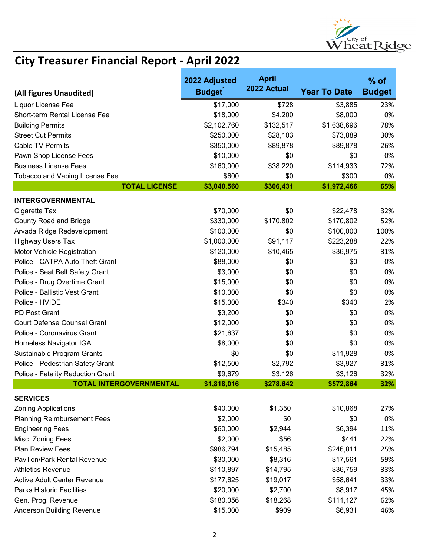

|                                     | 2022 Adjusted       | <b>April</b> |                     | $%$ of        |
|-------------------------------------|---------------------|--------------|---------------------|---------------|
| (All figures Unaudited)             | Budget <sup>1</sup> | 2022 Actual  | <b>Year To Date</b> | <b>Budget</b> |
| Liquor License Fee                  | \$17,000            | \$728        | \$3,885             | 23%           |
| Short-term Rental License Fee       | \$18,000            | \$4,200      | \$8,000             | 0%            |
| <b>Building Permits</b>             | \$2,102,760         | \$132,517    | \$1,638,696         | 78%           |
| <b>Street Cut Permits</b>           | \$250,000           | \$28,103     | \$73,889            | 30%           |
| <b>Cable TV Permits</b>             | \$350,000           | \$89,878     | \$89,878            | 26%           |
| Pawn Shop License Fees              | \$10,000            | \$0          | \$0                 | 0%            |
| <b>Business License Fees</b>        | \$160,000           | \$38,220     | \$114,933           | 72%           |
| Tobacco and Vaping License Fee      | \$600               | \$0          | \$300               | 0%            |
| <b>TOTAL LICENSE</b>                | \$3,040,560         | \$306,431    | \$1,972,466         | 65%           |
| <b>INTERGOVERNMENTAL</b>            |                     |              |                     |               |
| Cigarette Tax                       | \$70,000            | \$0          | \$22,478            | 32%           |
| <b>County Road and Bridge</b>       | \$330,000           | \$170,802    | \$170,802           | 52%           |
| Arvada Ridge Redevelopment          | \$100,000           | \$0          | \$100,000           | 100%          |
| <b>Highway Users Tax</b>            | \$1,000,000         | \$91,117     | \$223,288           | 22%           |
| Motor Vehicle Registration          | \$120,000           | \$10,465     | \$36,975            | 31%           |
| Police - CATPA Auto Theft Grant     | \$88,000            | \$0          | \$0                 | 0%            |
| Police - Seat Belt Safety Grant     | \$3,000             | \$0          | \$0                 | 0%            |
| Police - Drug Overtime Grant        | \$15,000            | \$0          | \$0                 | 0%            |
| Police - Ballistic Vest Grant       | \$10,000            | \$0          | \$0                 | 0%            |
| Police - HVIDE                      | \$15,000            | \$340        | \$340               | 2%            |
| PD Post Grant                       | \$3,200             | \$0          | \$0                 | 0%            |
| <b>Court Defense Counsel Grant</b>  | \$12,000            | \$0          | \$0                 | 0%            |
| Police - Coronavirus Grant          | \$21,637            | \$0          | \$0                 | 0%            |
| Homeless Navigator IGA              | \$8,000             | \$0          | \$0                 | 0%            |
| Sustainable Program Grants          | \$0                 | \$0          | \$11,928            | 0%            |
| Police - Pedestrian Safety Grant    | \$12,500            | \$2,792      | \$3,927             | 31%           |
| Police - Fatality Reduction Grant   | \$9,679             | \$3,126      | \$3,126             | 32%           |
| <b>TOTAL INTERGOVERNMENTAL</b>      | \$1.818.016         | \$278,642    | \$572.864           | 32%           |
| <b>SERVICES</b>                     |                     |              |                     |               |
| <b>Zoning Applications</b>          | \$40,000            | \$1,350      | \$10,868            | 27%           |
| <b>Planning Reimbursement Fees</b>  | \$2,000             | \$0          | \$0                 | 0%            |
| <b>Engineering Fees</b>             | \$60,000            | \$2,944      | \$6,394             | 11%           |
| Misc. Zoning Fees                   | \$2,000             | \$56         | \$441               | 22%           |
| <b>Plan Review Fees</b>             | \$986,794           | \$15,485     | \$246,811           | 25%           |
| <b>Pavilion/Park Rental Revenue</b> | \$30,000            | \$8,316      | \$17,561            | 59%           |
| <b>Athletics Revenue</b>            | \$110,897           | \$14,795     | \$36,759            | 33%           |
| <b>Active Adult Center Revenue</b>  | \$177,625           | \$19,017     | \$58,641            | 33%           |
| <b>Parks Historic Facilities</b>    | \$20,000            | \$2,700      | \$8,917             | 45%           |
| Gen. Prog. Revenue                  | \$180,056           | \$18,268     | \$111,127           | 62%           |
| Anderson Building Revenue           | \$15,000            | \$909        | \$6,931             | 46%           |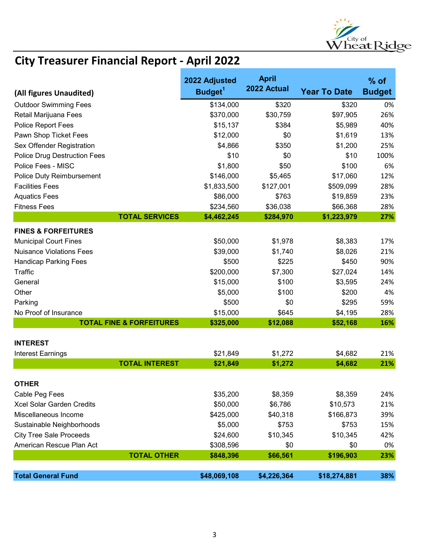

|                                                    | 2022 Adjusted       | <b>April</b><br>2022 Actual |                     | $%$ of        |
|----------------------------------------------------|---------------------|-----------------------------|---------------------|---------------|
| (All figures Unaudited)                            | Budget <sup>1</sup> |                             | <b>Year To Date</b> | <b>Budget</b> |
| <b>Outdoor Swimming Fees</b>                       | \$134,000           | \$320                       | \$320               | 0%            |
| Retail Marijuana Fees                              | \$370,000           | \$30,759                    | \$97,905            | 26%           |
| Police Report Fees                                 | \$15,137            | \$384                       | \$5,989             | 40%           |
| Pawn Shop Ticket Fees                              | \$12,000            | \$0                         | \$1,619             | 13%           |
| Sex Offender Registration                          | \$4,866             | \$350                       | \$1,200             | 25%           |
| <b>Police Drug Destruction Fees</b>                | \$10                | \$0                         | \$10                | 100%          |
| Police Fees - MISC                                 | \$1,800             | \$50                        | \$100               | 6%            |
| <b>Police Duty Reimbursement</b>                   | \$146,000           | \$5,465                     | \$17,060            | 12%           |
| <b>Facilities Fees</b>                             | \$1,833,500         | \$127,001                   | \$509,099           | 28%           |
| <b>Aquatics Fees</b>                               | \$86,000            | \$763                       | \$19,859            | 23%           |
| <b>Fitness Fees</b>                                | \$234,560           | \$36,038                    | \$66,368            | 28%           |
| <b>TOTAL SERVICES</b>                              | \$4,462,245         | \$284,970                   | \$1,223,979         | 27%           |
| <b>FINES &amp; FORFEITURES</b>                     |                     |                             |                     |               |
| <b>Municipal Court Fines</b>                       | \$50,000            | \$1,978                     | \$8,383             | 17%           |
| <b>Nuisance Violations Fees</b>                    | \$39,000            | \$1,740                     | \$8,026             | 21%           |
| <b>Handicap Parking Fees</b>                       | \$500               | \$225                       | \$450               | 90%           |
| <b>Traffic</b>                                     | \$200,000           | \$7,300                     | \$27,024            | 14%           |
| General                                            | \$15,000            | \$100                       | \$3,595             | 24%           |
| Other                                              | \$5,000             | \$100                       | \$200               | 4%            |
| Parking                                            | \$500               | \$0                         | \$295               | 59%           |
| No Proof of Insurance                              | \$15,000            | \$645                       | \$4,195             | 28%           |
| <b>TOTAL FINE &amp; FORFEITURES</b>                | \$325,000           | \$12,088                    | \$52,168            | 16%           |
|                                                    |                     |                             |                     |               |
| <b>INTEREST</b>                                    |                     |                             |                     |               |
| <b>Interest Earnings</b>                           | \$21,849            | \$1,272                     | \$4,682             | 21%           |
| <b>TOTAL INTEREST</b>                              | \$21,849            | \$1,272                     | \$4,682             | 21%           |
|                                                    |                     |                             |                     |               |
| <b>OTHER</b>                                       |                     |                             |                     |               |
| Cable Peg Fees<br><b>Xcel Solar Garden Credits</b> | \$35,200            | \$8,359                     | \$8,359             | 24%           |
|                                                    | \$50,000            | \$6,786                     | \$10,573            | 21%           |
| Miscellaneous Income                               | \$425,000           | \$40,318                    | \$166,873           | 39%           |
| Sustainable Neighborhoods                          | \$5,000             | \$753                       | \$753               | 15%           |
| <b>City Tree Sale Proceeds</b>                     | \$24,600            | \$10,345                    | \$10,345            | 42%           |
| American Rescue Plan Act                           | \$308,596           | \$0                         | \$0                 | 0%            |
| <b>TOTAL OTHER</b>                                 | \$848,396           | \$66,561                    | \$196,903           | 23%           |
| <b>Total General Fund</b>                          | \$48,069,108        | \$4,226,364                 | \$18,274,881        | 38%           |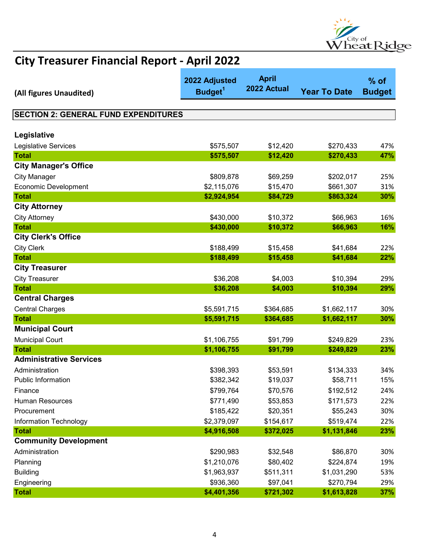

| (All figures Unaudited)                     | 2022 Adjusted<br>Budget <sup>1</sup> | <b>April</b><br>2022 Actual | <b>Year To Date</b> | $%$ of<br><b>Budget</b> |
|---------------------------------------------|--------------------------------------|-----------------------------|---------------------|-------------------------|
|                                             |                                      |                             |                     |                         |
| <b>SECTION 2: GENERAL FUND EXPENDITURES</b> |                                      |                             |                     |                         |
|                                             |                                      |                             |                     |                         |
| Legislative                                 |                                      |                             |                     |                         |
| Legislative Services                        | \$575,507                            | \$12,420                    | \$270,433           | 47%                     |
| <b>Total</b>                                | \$575,507                            | \$12,420                    | \$270,433           | 47%                     |
| <b>City Manager's Office</b>                |                                      |                             |                     |                         |
| <b>City Manager</b>                         | \$809,878                            | \$69,259                    | \$202,017           | 25%                     |
| <b>Economic Development</b>                 | \$2,115,076                          | \$15,470                    | \$661,307           | 31%                     |
| <b>Total</b>                                | \$2,924,954                          | \$84,729                    | \$863,324           | 30%                     |
| <b>City Attorney</b>                        |                                      |                             |                     |                         |
| <b>City Attorney</b>                        | \$430,000                            | \$10,372                    | \$66,963            | 16%                     |
| <b>Total</b>                                | \$430,000                            | \$10,372                    | \$66,963            | 16%                     |
| <b>City Clerk's Office</b>                  |                                      |                             |                     |                         |
| <b>City Clerk</b>                           | \$188,499                            | \$15,458                    | \$41,684            | 22%                     |
| <b>Total</b>                                | \$188,499                            | \$15,458                    | \$41,684            | 22%                     |
| <b>City Treasurer</b>                       |                                      |                             |                     |                         |
| <b>City Treasurer</b>                       | \$36,208                             | \$4,003                     | \$10,394            | 29%                     |
| <b>Total</b>                                | \$36,208                             | \$4,003                     | \$10,394            | 29%                     |
| <b>Central Charges</b>                      |                                      |                             |                     |                         |
| <b>Central Charges</b>                      | \$5,591,715                          | \$364,685                   | \$1,662,117         | 30%                     |
| <b>Total</b>                                | \$5,591,715                          | \$364,685                   | \$1,662,117         | 30%                     |
| <b>Municipal Court</b>                      |                                      |                             |                     |                         |
| <b>Municipal Court</b>                      | \$1,106,755                          | \$91,799                    | \$249,829           | 23%                     |
| <b>Total</b>                                | \$1,106,755                          | \$91,799                    | \$249,829           | 23%                     |
| <b>Administrative Services</b>              |                                      |                             |                     |                         |
| Administration                              | \$398,393                            | \$53,591                    | \$134,333           | 34%                     |
| <b>Public Information</b>                   | \$382,342                            | \$19,037                    | \$58,711            | 15%                     |
| Finance                                     | \$799,764                            | \$70,576                    | \$192,512           | 24%                     |
| Human Resources                             | \$771,490                            | \$53,853                    | \$171,573           | 22%                     |
| Procurement                                 | \$185,422                            | \$20,351                    | \$55,243            | 30%                     |
| <b>Information Technology</b>               | \$2,379,097                          | \$154,617                   | \$519,474           | 22%                     |
| <b>Total</b>                                | \$4,916,508                          | \$372,025                   | \$1,131,846         | 23%                     |
| <b>Community Development</b>                |                                      |                             |                     |                         |
| Administration                              | \$290,983                            | \$32,548                    | \$86,870            | 30%                     |
| Planning                                    | \$1,210,076                          | \$80,402                    | \$224,874           | 19%                     |
| <b>Building</b>                             | \$1,963,937                          | \$511,311                   | \$1,031,290         | 53%                     |
| Engineering                                 | \$936,360                            | \$97,041                    | \$270,794           | 29%                     |
| <b>Total</b>                                | \$4,401,356                          | \$721,302                   | \$1,613,828         | 37%                     |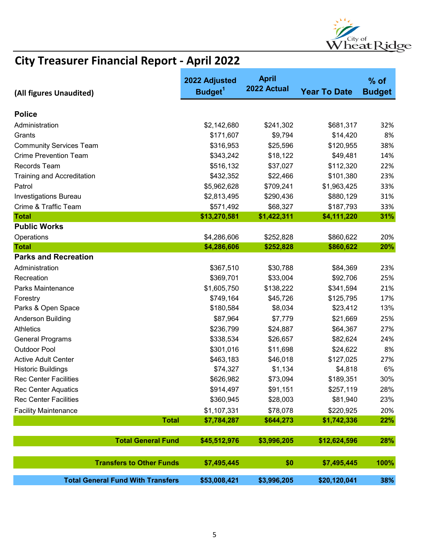

| (All figures Unaudited)                  | 2022 Adjusted<br>Budget <sup>1</sup> | <b>April</b><br>2022 Actual | <b>Year To Date</b> | $%$ of<br><b>Budget</b> |
|------------------------------------------|--------------------------------------|-----------------------------|---------------------|-------------------------|
| <b>Police</b>                            |                                      |                             |                     |                         |
| Administration                           | \$2,142,680                          | \$241,302                   | \$681,317           | 32%                     |
| Grants                                   | \$171,607                            | \$9,794                     | \$14,420            | 8%                      |
| <b>Community Services Team</b>           | \$316,953                            | \$25,596                    | \$120,955           | 38%                     |
| <b>Crime Prevention Team</b>             | \$343,242                            | \$18,122                    | \$49,481            | 14%                     |
| Records Team                             | \$516,132                            | \$37,027                    | \$112,320           | 22%                     |
| <b>Training and Accreditation</b>        | \$432,352                            | \$22,466                    | \$101,380           | 23%                     |
| Patrol                                   | \$5,962,628                          | \$709,241                   | \$1,963,425         | 33%                     |
| <b>Investigations Bureau</b>             | \$2,813,495                          | \$290,436                   | \$880,129           | 31%                     |
| Crime & Traffic Team                     | \$571,492                            | \$68,327                    | \$187,793           | 33%                     |
| <b>Total</b>                             | \$13,270,581                         | \$1,422,311                 | \$4,111,220         | 31%                     |
| <b>Public Works</b>                      |                                      |                             |                     |                         |
| Operations                               | \$4,286,606                          | \$252,828                   | \$860,622           | 20%                     |
| <b>Total</b>                             | \$4,286,606                          | \$252,828                   | \$860,622           | <b>20%</b>              |
| <b>Parks and Recreation</b>              |                                      |                             |                     |                         |
| Administration                           | \$367,510                            | \$30,788                    | \$84,369            | 23%                     |
| Recreation                               | \$369,701                            | \$33,004                    | \$92,706            | 25%                     |
| Parks Maintenance                        | \$1,605,750                          | \$138,222                   | \$341,594           | 21%                     |
| Forestry                                 | \$749,164                            | \$45,726                    | \$125,795           | 17%                     |
| Parks & Open Space                       | \$180,584                            | \$8,034                     | \$23,412            | 13%                     |
| Anderson Building                        | \$87,964                             | \$7,779                     | \$21,669            | 25%                     |
| <b>Athletics</b>                         | \$236,799                            | \$24,887                    | \$64,367            | 27%                     |
| <b>General Programs</b>                  | \$338,534                            | \$26,657                    | \$82,624            | 24%                     |
| <b>Outdoor Pool</b>                      | \$301,016                            | \$11,698                    | \$24,622            | 8%                      |
| <b>Active Adult Center</b>               | \$463,183                            | \$46,018                    | \$127,025           | 27%                     |
| <b>Historic Buildings</b>                | \$74,327                             | \$1,134                     | \$4,818             | 6%                      |
| <b>Rec Center Facilities</b>             | \$626,982                            | \$73,094                    | \$189,351           | 30%                     |
| <b>Rec Center Aquatics</b>               | \$914,497                            | \$91,151                    | \$257,119           | 28%                     |
| <b>Rec Center Facilities</b>             | \$360,945                            | \$28,003                    | \$81,940            | 23%                     |
| <b>Facility Maintenance</b>              | \$1,107,331                          | \$78,078                    | \$220,925           | 20%                     |
| <b>Total</b>                             | \$7,784,287                          | \$644,273                   | \$1,742,336         | 22%                     |
| <b>Total General Fund</b>                | \$45,512,976                         | \$3,996,205                 | \$12,624,596        | 28%                     |
| <b>Transfers to Other Funds</b>          | \$7,495,445                          | \$0                         | \$7,495,445         | 100%                    |
| <b>Total General Fund With Transfers</b> | \$53,008,421                         | \$3,996,205                 | \$20,120,041        | 38%                     |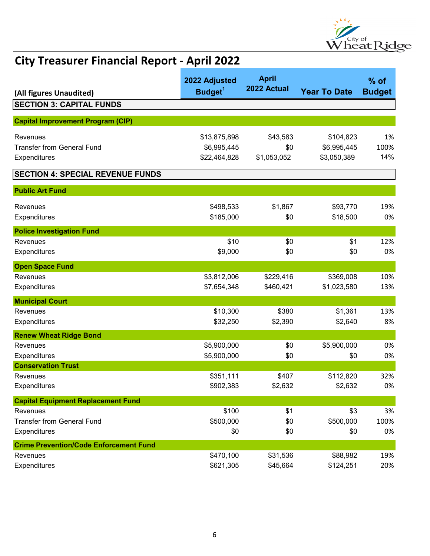

| (All figures Unaudited)                       | 2022 Adjusted<br>Budget <sup>1</sup> | <b>April</b><br>2022 Actual | <b>Year To Date</b> | $%$ of<br><b>Budget</b> |
|-----------------------------------------------|--------------------------------------|-----------------------------|---------------------|-------------------------|
| <b>SECTION 3: CAPITAL FUNDS</b>               |                                      |                             |                     |                         |
|                                               |                                      |                             |                     |                         |
| <b>Capital Improvement Program (CIP)</b>      |                                      |                             |                     |                         |
| Revenues                                      | \$13,875,898                         | \$43,583                    | \$104,823           | 1%                      |
| <b>Transfer from General Fund</b>             | \$6,995,445                          | \$0                         | \$6,995,445         | 100%                    |
| Expenditures                                  | \$22,464,828                         | \$1,053,052                 | \$3,050,389         | 14%                     |
| <b>SECTION 4: SPECIAL REVENUE FUNDS</b>       |                                      |                             |                     |                         |
| <b>Public Art Fund</b>                        |                                      |                             |                     |                         |
| Revenues                                      | \$498,533                            | \$1,867                     | \$93,770            | 19%                     |
| Expenditures                                  | \$185,000                            | \$0                         | \$18,500            | 0%                      |
| <b>Police Investigation Fund</b>              |                                      |                             |                     |                         |
| Revenues                                      | \$10                                 | \$0                         | \$1                 | 12%                     |
| Expenditures                                  | \$9,000                              | \$0                         | \$0                 | 0%                      |
| <b>Open Space Fund</b>                        |                                      |                             |                     |                         |
| Revenues                                      | \$3,812,006                          | \$229,416                   | \$369,008           | 10%                     |
| Expenditures                                  | \$7,654,348                          | \$460,421                   | \$1,023,580         | 13%                     |
| <b>Municipal Court</b>                        |                                      |                             |                     |                         |
| Revenues                                      | \$10,300                             | \$380                       | \$1,361             | 13%                     |
| Expenditures                                  | \$32,250                             | \$2,390                     | \$2,640             | 8%                      |
| <b>Renew Wheat Ridge Bond</b>                 |                                      |                             |                     |                         |
| Revenues                                      | \$5,900,000                          | \$0                         | \$5,900,000         | 0%                      |
| Expenditures                                  | \$5,900,000                          | \$0                         | \$0                 | 0%                      |
| <b>Conservation Trust</b>                     |                                      |                             |                     |                         |
| Revenues                                      | \$351,111                            | \$407                       | \$112,820           | 32%                     |
| Expenditures                                  | \$902,383                            | \$2,632                     | \$2,632             | 0%                      |
| <b>Capital Equipment Replacement Fund</b>     |                                      |                             |                     |                         |
| Revenues                                      | \$100                                | \$1                         | \$3                 | 3%                      |
| <b>Transfer from General Fund</b>             | \$500,000                            | \$0                         | \$500,000           | 100%                    |
| Expenditures                                  | \$0                                  | \$0                         | \$0                 | 0%                      |
| <b>Crime Prevention/Code Enforcement Fund</b> |                                      |                             |                     |                         |
| Revenues                                      | \$470,100                            | \$31,536                    | \$88,982            | 19%                     |
| Expenditures                                  | \$621,305                            | \$45,664                    | \$124,251           | 20%                     |